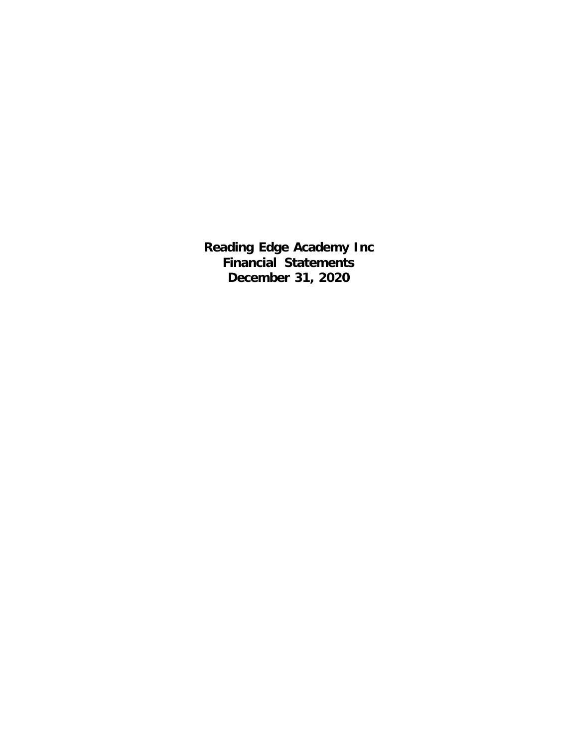**Reading Edge Academy Inc Financial Statements December 31, 2020**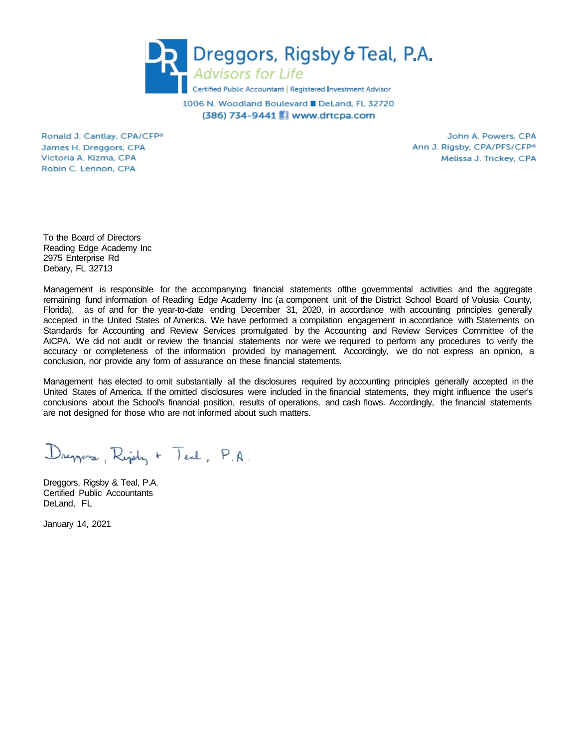

1006 N. Woodland Boulevard ■ DeLand, FL 32720 (386) 734-9441 Www.drtcpa.com

Ronald J. Cantlay, CPA/CFP® James H. Dreggors, CPA Victoria A. Kizma, CPA Robin C. Lennon, CPA

John A. Powers, CPA Ann J. Rigsby, CPA/PFS/CFP<sup>®</sup> Melissa J. Trickey, CPA

To the Board of Directors Reading Edge Academy Inc 2975 Enterprise Rd Debary, FL 32713

Management is responsible for the accompanying financial statements ofthe governmental activities and the aggregate remaining fund information of Reading Edge Academy Inc (a component unit of the District School Board of Volusia County, Florida), as of and for the year-to-date ending December 31, 2020, in accordance with accounting principles generally accepted in the United States of America. We have performed a compilation engagement in accordance with Statements on Standards for Accounting and Review Services promulgated by the Accounting and Review Services Committee of the AICPA. We did not audit or review the financial statements nor were we required to perform any procedures to verify the accuracy or completeness of the information provided by management. Accordingly, we do not express an opinion, a conclusion, nor provide any form of assurance on these financial statements.

Management has elected to omit substantially all the disclosures required by accounting principles generally accepted in the United States of America. If the omitted disclosures were included in the financial statements, they might influence the user's conclusions about the School's financial position, results of operations, and cash flows. Accordingly, the financial statements are not designed for those who are not informed about such matters.

Dreppers, Right + Teal, P.A.

Dreggors, Rigsby & Teal, P.A. Certified Public Accountants DeLand, FL

January 14, 2021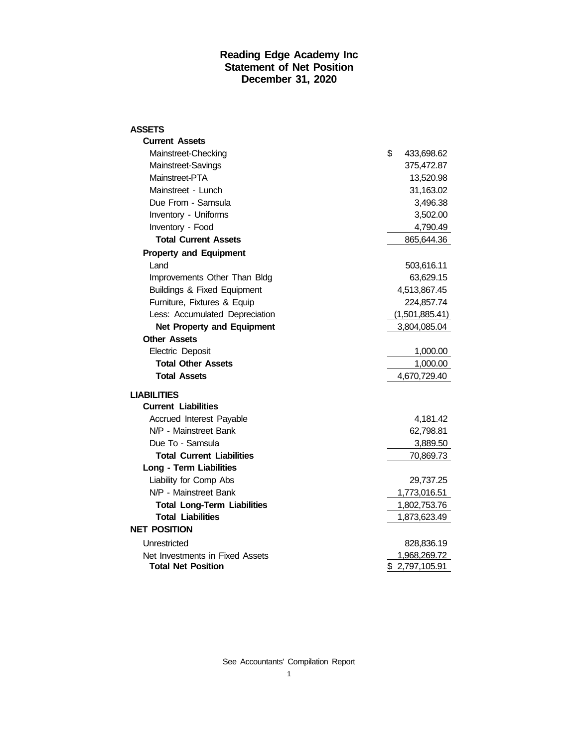#### **Reading Edge Academy Inc Statement of Net Position December 31, 2020**

| <b>ASSETS</b>                          |                  |
|----------------------------------------|------------------|
| <b>Current Assets</b>                  |                  |
| Mainstreet-Checking                    | \$<br>433,698.62 |
| Mainstreet-Savings                     | 375,472.87       |
| Mainstreet-PTA                         | 13,520.98        |
| Mainstreet - Lunch                     | 31,163.02        |
| Due From - Samsula                     | 3,496.38         |
| Inventory - Uniforms                   | 3,502.00         |
| Inventory - Food                       | 4,790.49         |
| <b>Total Current Assets</b>            | 865,644.36       |
| <b>Property and Equipment</b>          |                  |
| Land                                   | 503,616.11       |
| Improvements Other Than Bldg           | 63,629.15        |
| <b>Buildings &amp; Fixed Equipment</b> | 4,513,867.45     |
| Furniture, Fixtures & Equip            | 224,857.74       |
| Less: Accumulated Depreciation         | (1,501,885.41)   |
| <b>Net Property and Equipment</b>      | 3,804,085.04     |
| <b>Other Assets</b>                    |                  |
| Electric Deposit                       | 1,000.00         |
| <b>Total Other Assets</b>              | 1,000.00         |
| <b>Total Assets</b>                    | 4,670,729.40     |
| <b>LIABILITIES</b>                     |                  |
| <b>Current Liabilities</b>             |                  |
| Accrued Interest Payable               | 4,181.42         |
| N/P - Mainstreet Bank                  | 62,798.81        |
| Due To - Samsula                       | 3,889.50         |
| <b>Total Current Liabilities</b>       | 70,869.73        |
| Long - Term Liabilities                |                  |
| Liability for Comp Abs                 | 29,737.25        |
| N/P - Mainstreet Bank                  | 1,773,016.51     |
| <b>Total Long-Term Liabilities</b>     | 1,802,753.76     |
| <b>Total Liabilities</b>               | 1,873,623.49     |
| <b>NET POSITION</b>                    |                  |
| Unrestricted                           | 828,836.19       |
| Net Investments in Fixed Assets        | 1,968,269.72     |
| <b>Total Net Position</b>              | \$2,797,105.91   |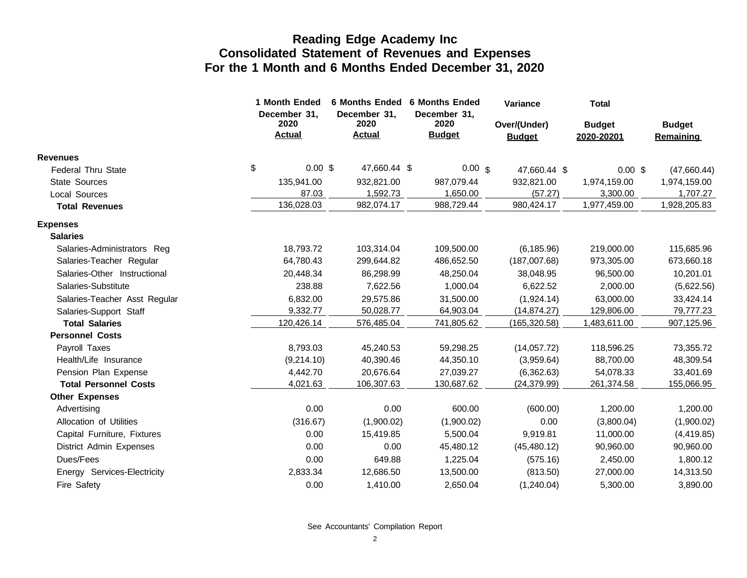|                               | 1 Month Ended<br>December 31, | <b>6 Months Ended</b><br>December 31, | <b>6 Months Ended</b><br>December 31, | Variance                      | <b>Total</b>                |                                   |
|-------------------------------|-------------------------------|---------------------------------------|---------------------------------------|-------------------------------|-----------------------------|-----------------------------------|
|                               | 2020<br><b>Actual</b>         | 2020<br><b>Actual</b>                 | 2020<br><b>Budget</b>                 | Over/(Under)<br><b>Budget</b> | <b>Budget</b><br>2020-20201 | <b>Budget</b><br><b>Remaining</b> |
| <b>Revenues</b>               |                               |                                       |                                       |                               |                             |                                   |
| <b>Federal Thru State</b>     | \$<br>$0.00$ \$               | 47,660.44 \$                          | $0.00 \text{ s}$                      | 47,660.44 \$                  | $0.00$ \$                   | (47,660.44)                       |
| State Sources                 | 135,941.00                    | 932,821.00                            | 987,079.44                            | 932,821.00                    | 1,974,159.00                | 1,974,159.00                      |
| <b>Local Sources</b>          | 87.03                         | 1.592.73                              | 1,650.00                              | (57.27)                       | 3,300.00                    | 1,707.27                          |
| <b>Total Revenues</b>         | 136,028.03                    | 982,074.17                            | 988,729.44                            | 980,424.17                    | 1,977,459.00                | 1,928,205.83                      |
| <b>Expenses</b>               |                               |                                       |                                       |                               |                             |                                   |
| <b>Salaries</b>               |                               |                                       |                                       |                               |                             |                                   |
| Salaries-Administrators Reg   | 18,793.72                     | 103,314.04                            | 109,500.00                            | (6, 185.96)                   | 219,000.00                  | 115,685.96                        |
| Salaries-Teacher Regular      | 64,780.43                     | 299,644.82                            | 486,652.50                            | (187,007.68)                  | 973,305.00                  | 673,660.18                        |
| Salaries-Other Instructional  | 20,448.34                     | 86,298.99                             | 48,250.04                             | 38,048.95                     | 96,500.00                   | 10,201.01                         |
| Salaries-Substitute           | 238.88                        | 7,622.56                              | 1,000.04                              | 6,622.52                      | 2,000.00                    | (5,622.56)                        |
| Salaries-Teacher Asst Regular | 6,832.00                      | 29,575.86                             | 31,500.00                             | (1,924.14)                    | 63,000.00                   | 33,424.14                         |
| Salaries-Support Staff        | 9,332.77                      | 50,028.77                             | 64,903.04                             | (14, 874.27)                  | 129,806.00                  | 79,777.23                         |
| <b>Total Salaries</b>         | 120,426.14                    | 576,485.04                            | 741,805.62                            | (165, 320.58)                 | 1,483,611.00                | 907,125.96                        |
| <b>Personnel Costs</b>        |                               |                                       |                                       |                               |                             |                                   |
| Payroll Taxes                 | 8,793.03                      | 45,240.53                             | 59,298.25                             | (14,057.72)                   | 118,596.25                  | 73,355.72                         |
| Health/Life Insurance         | (9,214.10)                    | 40,390.46                             | 44,350.10                             | (3,959.64)                    | 88,700.00                   | 48,309.54                         |
| Pension Plan Expense          | 4,442.70                      | 20,676.64                             | 27,039.27                             | (6,362.63)                    | 54,078.33                   | 33,401.69                         |
| <b>Total Personnel Costs</b>  | 4,021.63                      | 106,307.63                            | 130,687.62                            | (24, 379.99)                  | 261,374.58                  | 155,066.95                        |
| <b>Other Expenses</b>         |                               |                                       |                                       |                               |                             |                                   |
| Advertising                   | 0.00                          | 0.00                                  | 600.00                                | (600.00)                      | 1,200.00                    | 1,200.00                          |
| Allocation of Utilities       | (316.67)                      | (1,900.02)                            | (1,900.02)                            | 0.00                          | (3,800.04)                  | (1,900.02)                        |
| Capital Furniture, Fixtures   | 0.00                          | 15,419.85                             | 5,500.04                              | 9,919.81                      | 11,000.00                   | (4, 419.85)                       |
| District Admin Expenses       | 0.00                          | 0.00                                  | 45,480.12                             | (45, 480.12)                  | 90,960.00                   | 90,960.00                         |
| Dues/Fees                     | 0.00                          | 649.88                                | 1,225.04                              | (575.16)                      | 2,450.00                    | 1,800.12                          |
| Energy Services-Electricity   | 2,833.34                      | 12,686.50                             | 13,500.00                             | (813.50)                      | 27,000.00                   | 14,313.50                         |
| Fire Safety                   | 0.00                          | 1,410.00                              | 2,650.04                              | (1,240.04)                    | 5,300.00                    | 3,890.00                          |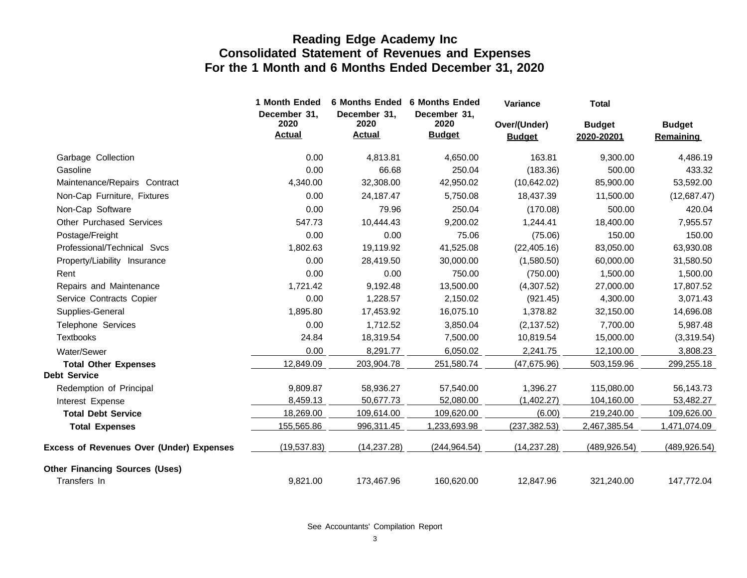|                                                 | 1 Month Ended                         |                                       | 6 Months Ended 6 Months Ended         | Variance                      | <b>Total</b>                |                                   |
|-------------------------------------------------|---------------------------------------|---------------------------------------|---------------------------------------|-------------------------------|-----------------------------|-----------------------------------|
|                                                 | December 31,<br>2020<br><b>Actual</b> | December 31,<br>2020<br><b>Actual</b> | December 31,<br>2020<br><b>Budget</b> | Over/(Under)<br><b>Budget</b> | <b>Budget</b><br>2020-20201 | <b>Budget</b><br><b>Remaining</b> |
| Garbage Collection                              | 0.00                                  | 4,813.81                              | 4,650.00                              | 163.81                        | 9,300.00                    | 4,486.19                          |
| Gasoline                                        | 0.00                                  | 66.68                                 | 250.04                                | (183.36)                      | 500.00                      | 433.32                            |
| Maintenance/Repairs Contract                    | 4,340.00                              | 32,308.00                             | 42,950.02                             | (10,642.02)                   | 85,900.00                   | 53,592.00                         |
| Non-Cap Furniture, Fixtures                     | 0.00                                  | 24,187.47                             | 5,750.08                              | 18,437.39                     | 11,500.00                   | (12,687.47)                       |
| Non-Cap Software                                | 0.00                                  | 79.96                                 | 250.04                                | (170.08)                      | 500.00                      | 420.04                            |
| <b>Other Purchased Services</b>                 | 547.73                                | 10,444.43                             | 9,200.02                              | 1,244.41                      | 18,400.00                   | 7,955.57                          |
| Postage/Freight                                 | 0.00                                  | 0.00                                  | 75.06                                 | (75.06)                       | 150.00                      | 150.00                            |
| Professional/Technical Sycs                     | 1,802.63                              | 19,119.92                             | 41,525.08                             | (22, 405.16)                  | 83,050.00                   | 63,930.08                         |
| Property/Liability Insurance                    | 0.00                                  | 28,419.50                             | 30,000.00                             | (1,580.50)                    | 60,000.00                   | 31,580.50                         |
| Rent                                            | 0.00                                  | 0.00                                  | 750.00                                | (750.00)                      | 1,500.00                    | 1,500.00                          |
| Repairs and Maintenance                         | 1,721.42                              | 9,192.48                              | 13,500.00                             | (4,307.52)                    | 27,000.00                   | 17,807.52                         |
| Service Contracts Copier                        | 0.00                                  | 1,228.57                              | 2,150.02                              | (921.45)                      | 4,300.00                    | 3,071.43                          |
| Supplies-General                                | 1,895.80                              | 17,453.92                             | 16,075.10                             | 1,378.82                      | 32,150.00                   | 14,696.08                         |
| Telephone Services                              | 0.00                                  | 1,712.52                              | 3,850.04                              | (2, 137.52)                   | 7,700.00                    | 5,987.48                          |
| <b>Textbooks</b>                                | 24.84                                 | 18,319.54                             | 7,500.00                              | 10,819.54                     | 15,000.00                   | (3,319.54)                        |
| Water/Sewer                                     | 0.00                                  | 8,291.77                              | 6,050.02                              | 2,241.75                      | 12,100.00                   | 3,808.23                          |
| <b>Total Other Expenses</b>                     | 12,849.09                             | 203,904.78                            | 251,580.74                            | (47, 675.96)                  | 503,159.96                  | 299,255.18                        |
| <b>Debt Service</b>                             |                                       |                                       |                                       |                               |                             |                                   |
| Redemption of Principal                         | 9,809.87                              | 58,936.27                             | 57,540.00                             | 1,396.27                      | 115,080.00                  | 56,143.73                         |
| Interest Expense                                | 8,459.13                              | 50,677.73                             | 52,080.00                             | (1,402.27)                    | 104,160.00                  | 53,482.27                         |
| <b>Total Debt Service</b>                       | 18,269.00                             | 109,614.00                            | 109,620.00                            | (6.00)                        | 219,240.00                  | 109,626.00                        |
| <b>Total Expenses</b>                           | 155,565.86                            | 996,311.45                            | 1,233,693.98                          | (237, 382.53)                 | 2,467,385.54                | 1,471,074.09                      |
| <b>Excess of Revenues Over (Under) Expenses</b> | (19,537.83)                           | (14, 237.28)                          | (244, 964.54)                         | (14, 237.28)                  | (489, 926.54)               | (489, 926.54)                     |
| <b>Other Financing Sources (Uses)</b>           |                                       |                                       |                                       |                               |                             |                                   |
| Transfers In                                    | 9,821.00                              | 173,467.96                            | 160,620.00                            | 12,847.96                     | 321,240.00                  | 147,772.04                        |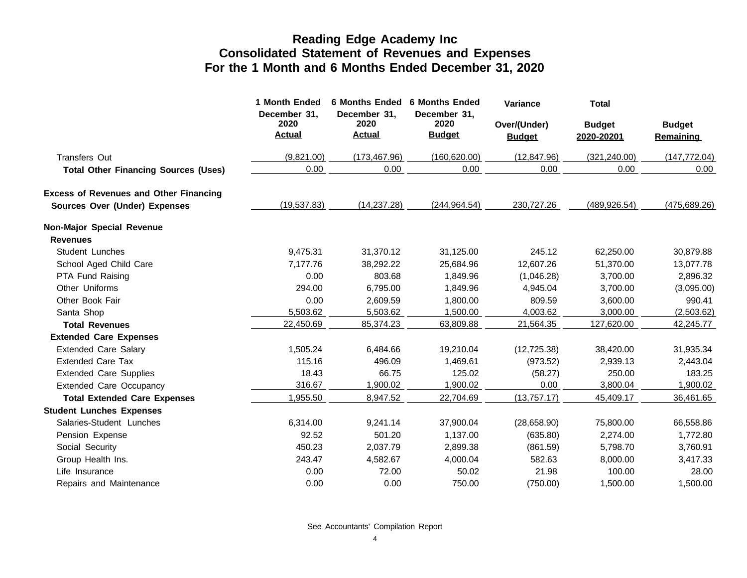|                                               | 1 Month Ended<br>December 31, | 6 Months Ended 6 Months Ended<br>December 31, | December 31.          | <b>Variance</b>               | <b>Total</b>                |                                   |
|-----------------------------------------------|-------------------------------|-----------------------------------------------|-----------------------|-------------------------------|-----------------------------|-----------------------------------|
|                                               | 2020<br><b>Actual</b>         | 2020<br><b>Actual</b>                         | 2020<br><b>Budget</b> | Over/(Under)<br><b>Budget</b> | <b>Budget</b><br>2020-20201 | <b>Budget</b><br><b>Remaining</b> |
| <b>Transfers Out</b>                          | (9,821.00)                    | (173, 467.96)                                 | (160, 620.00)         | (12, 847.96)                  | (321, 240.00)               | (147, 772.04)                     |
| <b>Total Other Financing Sources (Uses)</b>   | 0.00                          | 0.00                                          | 0.00                  | 0.00                          | 0.00                        | 0.00                              |
| <b>Excess of Revenues and Other Financing</b> |                               |                                               |                       |                               |                             |                                   |
| Sources Over (Under) Expenses                 | (19,537.83)                   | (14, 237.28)                                  | (244, 964.54)         | 230,727.26                    | (489, 926.54)               | (475, 689.26)                     |
| Non-Major Special Revenue                     |                               |                                               |                       |                               |                             |                                   |
| <b>Revenues</b>                               |                               |                                               |                       |                               |                             |                                   |
| <b>Student Lunches</b>                        | 9,475.31                      | 31,370.12                                     | 31,125.00             | 245.12                        | 62,250.00                   | 30,879.88                         |
| School Aged Child Care                        | 7,177.76                      | 38,292.22                                     | 25,684.96             | 12,607.26                     | 51,370.00                   | 13,077.78                         |
| PTA Fund Raising                              | 0.00                          | 803.68                                        | 1,849.96              | (1,046.28)                    | 3,700.00                    | 2,896.32                          |
| Other Uniforms                                | 294.00                        | 6,795.00                                      | 1,849.96              | 4,945.04                      | 3,700.00                    | (3,095.00)                        |
| Other Book Fair                               | 0.00                          | 2,609.59                                      | 1,800.00              | 809.59                        | 3,600.00                    | 990.41                            |
| Santa Shop                                    | 5,503.62                      | 5,503.62                                      | 1,500.00              | 4,003.62                      | 3,000.00                    | (2,503.62)                        |
| <b>Total Revenues</b>                         | 22,450.69                     | 85,374.23                                     | 63,809.88             | 21,564.35                     | 127,620.00                  | 42,245.77                         |
| <b>Extended Care Expenses</b>                 |                               |                                               |                       |                               |                             |                                   |
| <b>Extended Care Salary</b>                   | 1,505.24                      | 6,484.66                                      | 19,210.04             | (12, 725.38)                  | 38,420.00                   | 31,935.34                         |
| <b>Extended Care Tax</b>                      | 115.16                        | 496.09                                        | 1,469.61              | (973.52)                      | 2,939.13                    | 2,443.04                          |
| <b>Extended Care Supplies</b>                 | 18.43                         | 66.75                                         | 125.02                | (58.27)                       | 250.00                      | 183.25                            |
| <b>Extended Care Occupancy</b>                | 316.67                        | 1,900.02                                      | 1,900.02              | 0.00                          | 3,800.04                    | 1,900.02                          |
| <b>Total Extended Care Expenses</b>           | 1,955.50                      | 8,947.52                                      | 22,704.69             | (13,757.17)                   | 45,409.17                   | 36,461.65                         |
| <b>Student Lunches Expenses</b>               |                               |                                               |                       |                               |                             |                                   |
| Salaries-Student Lunches                      | 6,314.00                      | 9,241.14                                      | 37,900.04             | (28,658.90)                   | 75,800.00                   | 66,558.86                         |
| Pension Expense                               | 92.52                         | 501.20                                        | 1,137.00              | (635.80)                      | 2,274.00                    | 1,772.80                          |
| Social Security                               | 450.23                        | 2,037.79                                      | 2,899.38              | (861.59)                      | 5,798.70                    | 3,760.91                          |
| Group Health Ins.                             | 243.47                        | 4,582.67                                      | 4,000.04              | 582.63                        | 8,000.00                    | 3,417.33                          |
| Life Insurance                                | 0.00                          | 72.00                                         | 50.02                 | 21.98                         | 100.00                      | 28.00                             |
| Repairs and Maintenance                       | 0.00                          | 0.00                                          | 750.00                | (750.00)                      | 1,500.00                    | 1,500.00                          |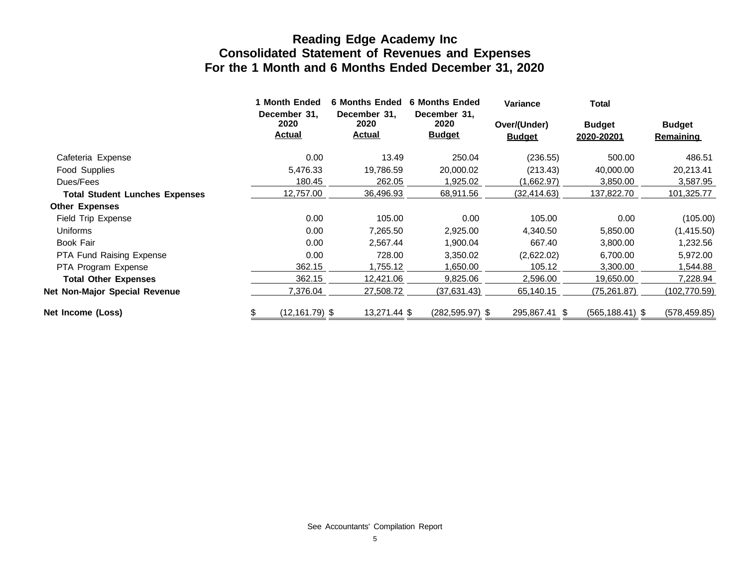|                                       | 1 Month Ended<br>December 31, | <b>6 Months Ended</b><br>December 31. | <b>6 Months Ended</b><br>December 31, | <b>Variance</b>               | Total                       |                                   |
|---------------------------------------|-------------------------------|---------------------------------------|---------------------------------------|-------------------------------|-----------------------------|-----------------------------------|
|                                       | 2020<br><b>Actual</b>         | 2020<br><b>Actual</b>                 | 2020<br><b>Budget</b>                 | Over/(Under)<br><u>Budget</u> | <b>Budget</b><br>2020-20201 | <b>Budget</b><br><b>Remaining</b> |
| Cafeteria Expense                     | 0.00                          | 13.49                                 | 250.04                                | (236.55)                      | 500.00                      | 486.51                            |
| Food Supplies                         | 5,476.33                      | 19,786.59                             | 20,000.02                             | (213.43)                      | 40,000.00                   | 20,213.41                         |
| Dues/Fees                             | 180.45                        | 262.05                                | 1,925.02                              | (1,662.97)                    | 3,850.00                    | 3,587.95                          |
| <b>Total Student Lunches Expenses</b> | 12,757.00                     | 36,496.93                             | 68,911.56                             | (32,414.63)                   | 137,822.70                  | 101,325.77                        |
| <b>Other Expenses</b>                 |                               |                                       |                                       |                               |                             |                                   |
| Field Trip Expense                    | 0.00                          | 105.00                                | 0.00                                  | 105.00                        | 0.00                        | (105.00)                          |
| Uniforms                              | 0.00                          | 7,265.50                              | 2,925.00                              | 4,340.50                      | 5,850.00                    | (1,415.50)                        |
| Book Fair                             | 0.00                          | 2,567.44                              | 1,900.04                              | 667.40                        | 3,800.00                    | 1,232.56                          |
| <b>PTA Fund Raising Expense</b>       | 0.00                          | 728.00                                | 3,350.02                              | (2,622.02)                    | 6,700.00                    | 5,972.00                          |
| PTA Program Expense                   | 362.15                        | 1,755.12                              | 1,650.00                              | 105.12                        | 3,300.00                    | 1,544.88                          |
| <b>Total Other Expenses</b>           | 362.15                        | 12,421.06                             | 9,825.06                              | 2,596.00                      | 19,650.00                   | 7,228.94                          |
| Net Non-Major Special Revenue         | 7,376.04                      | 27,508.72                             | (37,631.43)                           | 65,140.15                     | (75, 261.87)                | (102,770.59)                      |
| Net Income (Loss)                     | $(12, 161.79)$ \$             | 13,271.44 \$                          | $(282, 595.97)$ \$                    | 295,867.41 \$                 | $(565, 188.41)$ \$          | (578, 459.85)                     |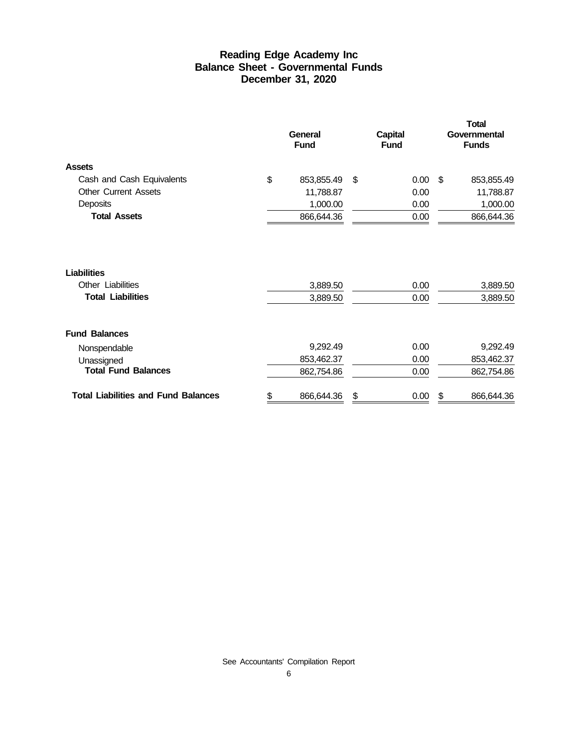#### **Reading Edge Academy Inc Balance Sheet - Governmental Funds December 31, 2020**

|                                                                     | General<br><b>Fund</b> | <b>Capital</b><br><b>Fund</b> | <b>Total</b><br>Governmental<br><b>Funds</b> |  |  |  |
|---------------------------------------------------------------------|------------------------|-------------------------------|----------------------------------------------|--|--|--|
| <b>Assets</b>                                                       |                        |                               |                                              |  |  |  |
| Cash and Cash Equivalents                                           | \$<br>853,855.49       | 0.00<br>\$                    | \$<br>853,855.49                             |  |  |  |
| <b>Other Current Assets</b>                                         | 11,788.87              | 0.00                          | 11,788.87                                    |  |  |  |
| Deposits                                                            | 1,000.00               | 0.00                          | 1,000.00                                     |  |  |  |
| <b>Total Assets</b>                                                 | 866,644.36             | 0.00                          | 866,644.36                                   |  |  |  |
| <b>Liabilities</b><br>Other Liabilities<br><b>Total Liabilities</b> | 3,889.50<br>3,889.50   | 0.00<br>0.00                  | 3,889.50<br>3,889.50                         |  |  |  |
| <b>Fund Balances</b>                                                |                        |                               |                                              |  |  |  |
| Nonspendable                                                        | 9,292.49               | 0.00                          | 9,292.49                                     |  |  |  |
| Unassigned                                                          | 853,462.37             | 0.00                          | 853,462.37                                   |  |  |  |
| <b>Total Fund Balances</b>                                          | 862,754.86             | 0.00                          | 862,754.86                                   |  |  |  |
| <b>Total Liabilities and Fund Balances</b>                          | \$<br>866,644.36       | 0.00<br>\$                    | 866,644.36<br>\$                             |  |  |  |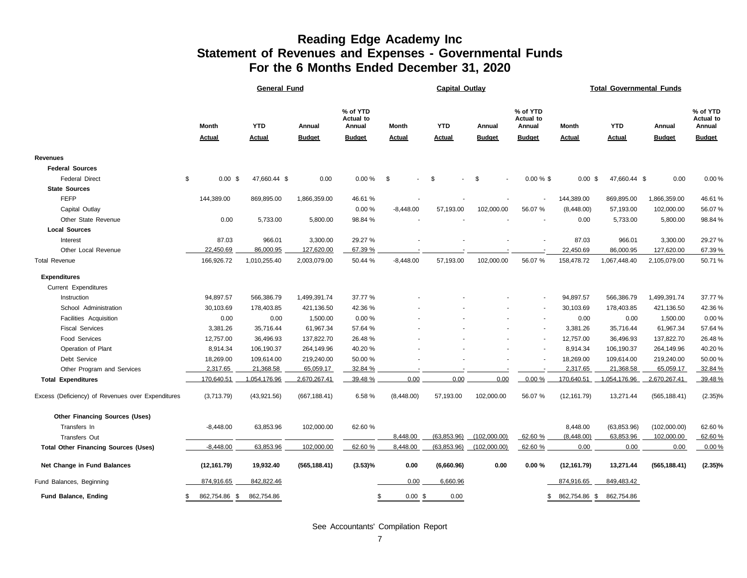#### **Reading Edge Academy Inc Statement of Revenues and Expenses - Governmental Funds For the 6 Months Ended December 31, 2020**

|                                                   |                 | <b>General Fund</b> |               | <b>Capital Outlay</b>                  |                                |               |               |                                        | <b>Total Governmental Funds</b> |               |               |                                 |  |  |
|---------------------------------------------------|-----------------|---------------------|---------------|----------------------------------------|--------------------------------|---------------|---------------|----------------------------------------|---------------------------------|---------------|---------------|---------------------------------|--|--|
|                                                   | <b>Month</b>    | <b>YTD</b>          | Annual        | % of YTD<br><b>Actual to</b><br>Annual | Month                          | <b>YTD</b>    | Annual        | % of YTD<br><b>Actual to</b><br>Annual | Month                           | <b>YTD</b>    | Annual        | % of YTD<br>Actual to<br>Annual |  |  |
|                                                   | <b>Actual</b>   | <b>Actual</b>       | <b>Budget</b> | <b>Budget</b>                          | <b>Actual</b>                  | <b>Actual</b> | <b>Budget</b> | <b>Budget</b>                          | <b>Actual</b>                   | <b>Actual</b> | <b>Budget</b> | <b>Budget</b>                   |  |  |
| Revenues                                          |                 |                     |               |                                        |                                |               |               |                                        |                                 |               |               |                                 |  |  |
| <b>Federal Sources</b>                            |                 |                     |               |                                        |                                |               |               |                                        |                                 |               |               |                                 |  |  |
| <b>Federal Direct</b>                             | \$<br>$0.00$ \$ | 47,660.44 \$        | 0.00          | 0.00%                                  | \$<br>$\overline{\phantom{a}}$ | \$            | \$            | $0.00 \%$ \$                           | $0.00 \text{ }$ \$              | 47,660.44 \$  | 0.00          | 0.00%                           |  |  |
| <b>State Sources</b>                              |                 |                     |               |                                        |                                |               |               |                                        |                                 |               |               |                                 |  |  |
| <b>FEFP</b>                                       | 144,389.00      | 869,895.00          | 1,866,359.00  | 46.61 %                                |                                |               |               |                                        | 144,389.00                      | 869,895.00    | 1,866,359.00  | 46.61%                          |  |  |
| Capital Outlay                                    |                 |                     |               | 0.00%                                  | $-8,448.00$                    | 57,193.00     | 102,000.00    | 56.07 %                                | (8,448.00)                      | 57,193.00     | 102,000.00    | 56.07%                          |  |  |
| Other State Revenue                               | 0.00            | 5,733.00            | 5,800.00      | 98.84 %                                |                                |               |               |                                        | 0.00                            | 5,733.00      | 5,800.00      | 98.84%                          |  |  |
| <b>Local Sources</b>                              |                 |                     |               |                                        |                                |               |               |                                        |                                 |               |               |                                 |  |  |
| Interest                                          | 87.03           | 966.01              | 3,300.00      | 29.27 %                                |                                |               |               |                                        | 87.03                           | 966.01        | 3,300.00      | 29.27%                          |  |  |
| Other Local Revenue                               | 22,450.69       | 86,000.95           | 127,620.00    | 67.39 %                                |                                |               |               |                                        | 22,450.69                       | 86,000.95     | 127,620.00    | 67.39%                          |  |  |
| <b>Total Revenue</b>                              | 166,926.72      | 1,010,255.40        | 2,003,079.00  | 50.44 %                                | $-8,448.00$                    | 57,193.00     | 102,000.00    | 56.07 %                                | 158,478.72                      | 1,067,448.40  | 2,105,079.00  | 50.71%                          |  |  |
| <b>Expenditures</b>                               |                 |                     |               |                                        |                                |               |               |                                        |                                 |               |               |                                 |  |  |
| Current Expenditures                              |                 |                     |               |                                        |                                |               |               |                                        |                                 |               |               |                                 |  |  |
| Instruction                                       | 94,897.57       | 566,386.79          | 1,499,391.74  | 37.77 %                                |                                |               |               | $\overline{\phantom{a}}$               | 94,897.57                       | 566,386.79    | 1,499,391.74  | 37.77%                          |  |  |
| School Administration                             | 30,103.69       | 178,403.85          | 421,136.50    | 42.36 %                                |                                |               |               |                                        | 30,103.69                       | 178,403.85    | 421,136.50    | 42.36%                          |  |  |
| Facilities Acquisition                            | 0.00            | 0.00                | 1,500.00      | 0.00%                                  |                                |               |               |                                        | 0.00                            | 0.00          | 1,500.00      | 0.00%                           |  |  |
| <b>Fiscal Services</b>                            | 3,381.26        | 35,716.44           | 61,967.34     | 57.64 %                                |                                |               |               |                                        | 3,381.26                        | 35,716.44     | 61,967.34     | 57.64%                          |  |  |
| <b>Food Services</b>                              | 12,757.00       | 36,496.93           | 137,822.70    | 26.48 %                                |                                |               |               |                                        | 12,757.00                       | 36,496.93     | 137,822.70    | 26.48%                          |  |  |
| Operation of Plant                                | 8,914.34        | 106,190.37          | 264,149.96    | 40.20 %                                |                                |               |               |                                        | 8,914.34                        | 106,190.37    | 264,149.96    | 40.20%                          |  |  |
| Debt Service                                      | 18,269.00       | 109,614.00          | 219,240.00    | 50.00 %                                |                                |               |               |                                        | 18,269.00                       | 109,614.00    | 219,240.00    | 50.00%                          |  |  |
| Other Program and Services                        | 2,317.65        | 21,368.58           | 65,059.17     | 32.84 %                                |                                |               |               |                                        | 2,317.65                        | 21,368.58     | 65,059.17     | 32.84%                          |  |  |
| <b>Total Expenditures</b>                         | 170,640.51      | 1,054,176.96        | 2,670,267.41  | 39.48 %                                | 0.00                           | 0.00          | 0.00          | 0.00%                                  | 170,640.51                      | 1,054,176.96  | 2,670,267.41  | 39.48%                          |  |  |
| Excess (Deficiency) of Revenues over Expenditures | (3,713.79)      | (43,921.56)         | (667, 188.41) | 6.58 %                                 | (8,448.00)                     | 57,193.00     | 102,000.00    | 56.07 %                                | (12, 161.79)                    | 13,271.44     | (565, 188.41) | $(2.35)\%$                      |  |  |
| <b>Other Financing Sources (Uses)</b>             |                 |                     |               |                                        |                                |               |               |                                        |                                 |               |               |                                 |  |  |
| Transfers In                                      | $-8,448.00$     | 63,853.96           | 102,000.00    | 62.60 %                                |                                |               |               |                                        | 8,448.00                        | (63, 853.96)  | (102,000.00)  | 62.60%                          |  |  |
| <b>Transfers Out</b>                              |                 |                     |               |                                        | 8,448.00                       | (63, 853.96)  | (102,000.00)  | 62.60 %                                | (8,448.00)                      | 63,853.96     | 102,000.00    | 62.60%                          |  |  |
| <b>Total Other Financing Sources (Uses)</b>       | $-8,448.00$     | 63,853.96           | 102,000.00    | 62.60 %                                | 8,448.00                       | (63, 853.96)  | (102,000.00)  | 62.60 %                                | 0.00                            | 0.00          | 0.00          | 0.00%                           |  |  |
| Net Change in Fund Balances                       | (12, 161.79)    | 19,932.40           | (565, 188.41) | $(3.53)\%$                             | 0.00                           | (6,660.96)    | 0.00          | 0.00%                                  | (12, 161.79)                    | 13,271.44     | (565, 188.41) | $(2.35)\%$                      |  |  |
| Fund Balances, Beginning                          | 874,916.65      | 842,822.46          |               |                                        | 0.00                           | 6,660.96      |               |                                        | 874,916.65                      | 849,483.42    |               |                                 |  |  |
| <b>Fund Balance, Ending</b>                       | 862,754.86 \$   | 862,754.86          |               | \$                                     | $0.00$ \$                      | 0.00          |               | S                                      | 862,754.86 \$                   | 862,754.86    |               |                                 |  |  |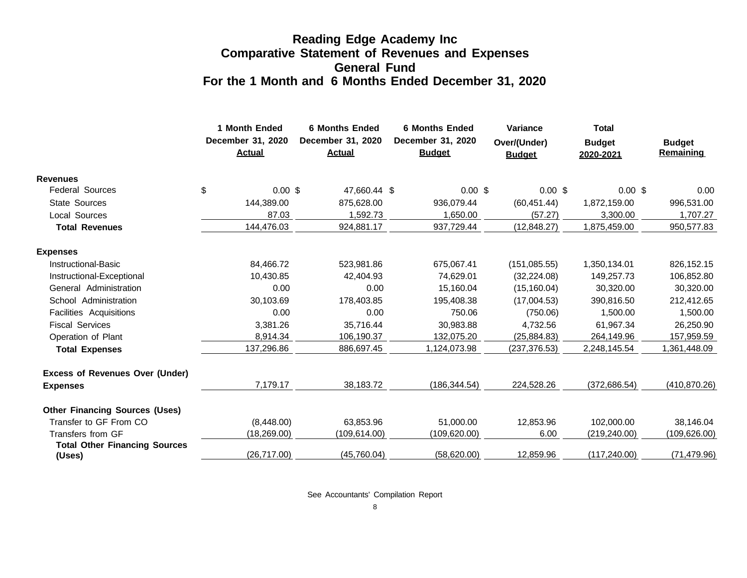### **Reading Edge Academy Inc Comparative Statement of Revenues and Expenses General Fund For the 1 Month and 6 Months Ended December 31, 2020**

|                                                | 1 Month Ended<br>December 31, 2020<br><b>Actual</b> | <b>6 Months Ended</b><br>December 31, 2020<br><b>Actual</b> | <b>6 Months Ended</b><br>December 31, 2020<br><b>Budget</b> | Variance<br>Over/(Under)<br><b>Budget</b> | <b>Total</b><br><b>Budget</b><br>2020-2021 | <b>Budget</b><br>Remaining |
|------------------------------------------------|-----------------------------------------------------|-------------------------------------------------------------|-------------------------------------------------------------|-------------------------------------------|--------------------------------------------|----------------------------|
| <b>Revenues</b>                                |                                                     |                                                             |                                                             |                                           |                                            |                            |
| <b>Federal Sources</b>                         | \$<br>$0.00$ \$                                     | 47,660.44 \$                                                | $0.00$ \$                                                   | 0.00~\$                                   | $0.00$ \$                                  | 0.00                       |
| <b>State Sources</b>                           | 144,389.00                                          | 875,628.00                                                  | 936,079.44                                                  | (60, 451.44)                              | 1,872,159.00                               | 996,531.00                 |
| <b>Local Sources</b>                           | 87.03                                               | 1,592.73                                                    | 1,650.00                                                    | (57.27)                                   | 3,300.00                                   | 1,707.27                   |
| <b>Total Revenues</b>                          | 144,476.03                                          | 924,881.17                                                  | 937,729.44                                                  | (12, 848.27)                              | 1,875,459.00                               | 950,577.83                 |
| <b>Expenses</b>                                |                                                     |                                                             |                                                             |                                           |                                            |                            |
| Instructional-Basic                            | 84,466.72                                           | 523,981.86                                                  | 675,067.41                                                  | (151, 085.55)                             | 1,350,134.01                               | 826,152.15                 |
| Instructional-Exceptional                      | 10,430.85                                           | 42,404.93                                                   | 74,629.01                                                   | (32, 224.08)                              | 149,257.73                                 | 106,852.80                 |
| General Administration                         | 0.00                                                | 0.00                                                        | 15,160.04                                                   | (15, 160.04)                              | 30,320.00                                  | 30,320.00                  |
| School Administration                          | 30,103.69                                           | 178,403.85                                                  | 195,408.38                                                  | (17,004.53)                               | 390,816.50                                 | 212,412.65                 |
| Facilities Acquisitions                        | 0.00                                                | 0.00                                                        | 750.06                                                      | (750.06)                                  | 1,500.00                                   | 1,500.00                   |
| <b>Fiscal Services</b>                         | 3,381.26                                            | 35,716.44                                                   | 30,983.88                                                   | 4,732.56                                  | 61,967.34                                  | 26,250.90                  |
| Operation of Plant                             | 8,914.34                                            | 106,190.37                                                  | 132,075.20                                                  | (25, 884.83)                              | 264,149.96                                 | 157,959.59                 |
| <b>Total Expenses</b>                          | 137,296.86                                          | 886,697.45                                                  | 1,124,073.98                                                | (237, 376.53)                             | 2,248,145.54                               | 1,361,448.09               |
| <b>Excess of Revenues Over (Under)</b>         |                                                     |                                                             |                                                             |                                           |                                            |                            |
| <b>Expenses</b>                                | 7,179.17                                            | 38,183.72                                                   | (186, 344.54)                                               | 224,528.26                                | (372, 686.54)                              | (410, 870.26)              |
| <b>Other Financing Sources (Uses)</b>          |                                                     |                                                             |                                                             |                                           |                                            |                            |
| Transfer to GF From CO                         | (8,448.00)                                          | 63,853.96                                                   | 51,000.00                                                   | 12,853.96                                 | 102,000.00                                 | 38,146.04                  |
| Transfers from GF                              | (18, 269.00)                                        | (109, 614.00)                                               | (109, 620.00)                                               | 6.00                                      | (219, 240.00)                              | (109, 626.00)              |
| <b>Total Other Financing Sources</b><br>(Uses) | (26, 717.00)                                        | (45,760.04)                                                 | (58,620.00)                                                 | 12,859.96                                 | (117, 240.00)                              | (71, 479.96)               |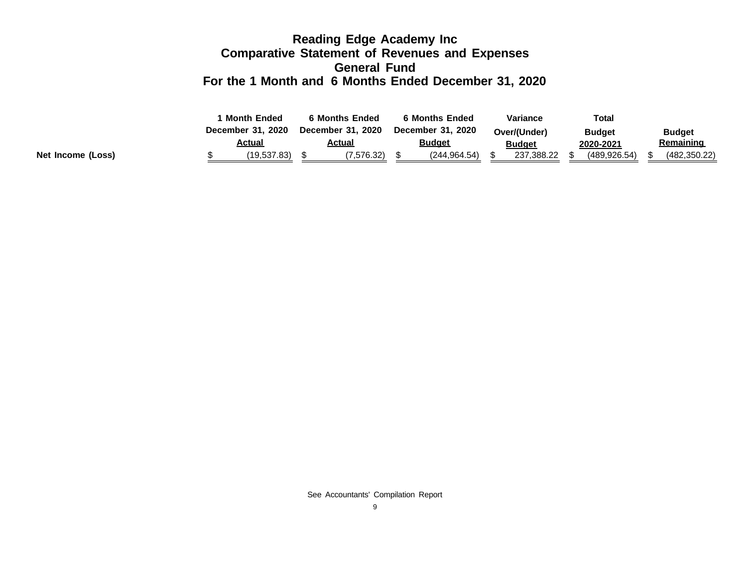### **Reading Edge Academy Inc Comparative Statement of Revenues and Expenses General Fund For the 1 Month and 6 Months Ended December 31, 2020**

|                   | <b>Month Ended</b> | 6 Months Ended    | <b>6 Months Ended</b> | Variance      | <b>Total</b>  |               |
|-------------------|--------------------|-------------------|-----------------------|---------------|---------------|---------------|
|                   | December 31, 2020  | December 31, 2020 | December 31, 2020     | Over/(Under)  | <b>Budget</b> | <b>Budget</b> |
|                   | <u>Actual</u>      | <u>Actual</u>     | <u>Budget</u>         | <b>Budget</b> | 2020-2021     | Remaining     |
| Net Income (Loss) | (19,537.83)        | (7.576.32)        | (244.964.54)          | 237,388.22    | (489.926.54)  | (482, 350.22) |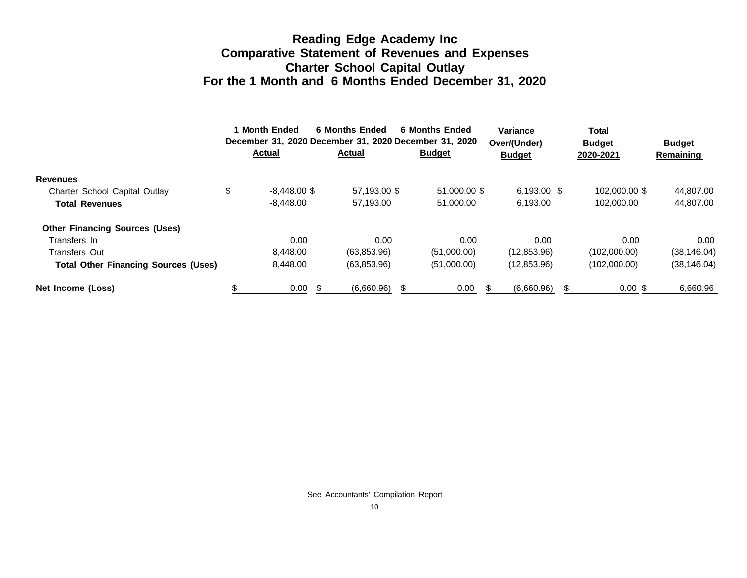### **Reading Edge Academy Inc Comparative Statement of Revenues and Expenses Charter School Capital Outlay For the 1 Month and 6 Months Ended December 31, 2020**

|                                             | 1 Month Ended<br>December 31, 2020 December 31, 2020 December 31, 2020<br><b>Actual</b> | <b>6 Months Ended</b><br><b>Actual</b> | 6 Months Ended<br><b>Budget</b> | Variance<br>Over/(Under)<br><b>Budget</b> | Total<br><b>Budget</b><br>2020-2021 | <b>Budget</b><br><b>Remaining</b> |
|---------------------------------------------|-----------------------------------------------------------------------------------------|----------------------------------------|---------------------------------|-------------------------------------------|-------------------------------------|-----------------------------------|
| <b>Revenues</b>                             |                                                                                         |                                        |                                 |                                           |                                     |                                   |
| Charter School Capital Outlay               | $-8.448.00$ \$                                                                          | 57.193.00 \$                           | 51,000,00 \$                    | 6,193.00 \$                               | 102,000,00 \$                       | 44,807.00                         |
| <b>Total Revenues</b>                       | $-8.448.00$                                                                             | 57.193.00                              | 51.000.00                       | 6.193.00                                  | 102.000.00                          | 44.807.00                         |
| <b>Other Financing Sources (Uses)</b>       |                                                                                         |                                        |                                 |                                           |                                     |                                   |
| Transfers In                                | 0.00                                                                                    | 0.00                                   | 0.00                            | 0.00                                      | 0.00                                | $0.00\,$                          |
| <b>Transfers Out</b>                        | 8.448.00                                                                                | (63,853.96)                            | (51,000.00)                     | (12, 853.96)                              | (102,000.00)                        | (38, 146.04)                      |
| <b>Total Other Financing Sources (Uses)</b> | 8,448.00                                                                                | (63,853.96)                            | (51,000.00)                     | (12,853.96)                               | (102,000.00)                        | (38, 146.04)                      |
| Net Income (Loss)                           | 0.00                                                                                    | \$<br>(6,660.96)                       | 0.00                            | (6,660.96)                                | $0.00$ \$                           | 6,660.96                          |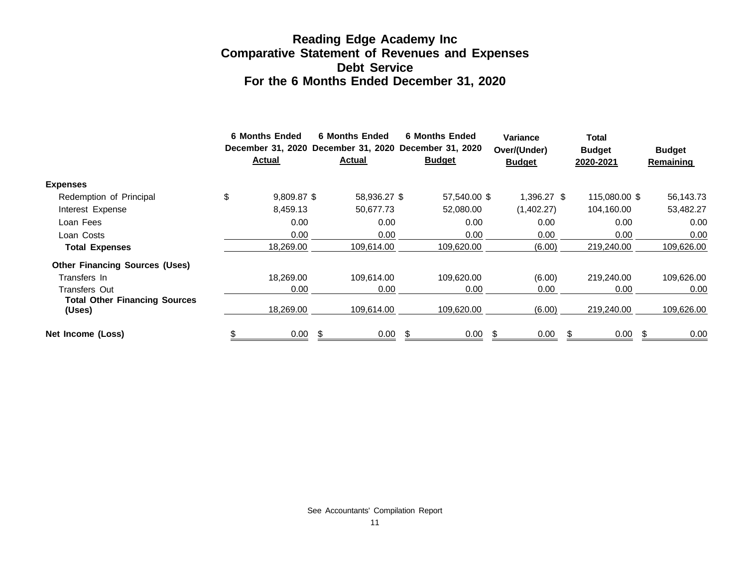### **Reading Edge Academy Inc Comparative Statement of Revenues and Expenses Debt Service For the 6 Months Ended December 31, 2020**

|                                                | <b>6 Months Ended</b><br><b>Actual</b> |    | <b>6 Months Ended</b><br><b>Actual</b> |    | <b>6 Months Ended</b><br>December 31, 2020 December 31, 2020 December 31, 2020<br><b>Budget</b> | <b>Variance</b><br>Over/(Under)<br><b>Budget</b> |     | Total<br><b>Budget</b><br>2020-2021 | <b>Budget</b><br><b>Remaining</b> |
|------------------------------------------------|----------------------------------------|----|----------------------------------------|----|-------------------------------------------------------------------------------------------------|--------------------------------------------------|-----|-------------------------------------|-----------------------------------|
| <b>Expenses</b>                                |                                        |    |                                        |    |                                                                                                 |                                                  |     |                                     |                                   |
| Redemption of Principal                        | \$<br>9,809.87 \$                      |    | 58,936.27 \$                           |    | 57,540.00 \$                                                                                    | 1,396.27 \$                                      |     | 115,080.00 \$                       | 56,143.73                         |
| Interest Expense                               | 8,459.13                               |    | 50,677.73                              |    | 52,080.00                                                                                       | (1,402.27)                                       |     | 104,160.00                          | 53,482.27                         |
| Loan Fees                                      | 0.00                                   |    | 0.00                                   |    | 0.00                                                                                            | 0.00                                             |     | 0.00                                | 0.00                              |
| Loan Costs                                     | 0.00                                   |    | 0.00                                   |    | 0.00                                                                                            | 0.00                                             |     | 0.00                                | 0.00                              |
| <b>Total Expenses</b>                          | 18,269.00                              |    | 109,614.00                             |    | 109,620.00                                                                                      | (6.00)                                           |     | 219,240.00                          | 109,626.00                        |
| <b>Other Financing Sources (Uses)</b>          |                                        |    |                                        |    |                                                                                                 |                                                  |     |                                     |                                   |
| Transfers In                                   | 18,269.00                              |    | 109.614.00                             |    | 109,620.00                                                                                      | (6.00)                                           |     | 219,240.00                          | 109,626.00                        |
| <b>Transfers Out</b>                           | 0.00                                   |    | 0.00                                   |    | 0.00                                                                                            | 0.00                                             |     | 0.00                                | 0.00                              |
| <b>Total Other Financing Sources</b><br>(Uses) | 18,269.00                              |    | 109,614.00                             |    | 109,620.00                                                                                      | (6.00)                                           |     | 219,240.00                          | 109,626.00                        |
| Net Income (Loss)                              | 0.00                                   | S. | 0.00                                   | -S | 0.00                                                                                            | 0.00                                             | \$. | 0.00                                | 0.00                              |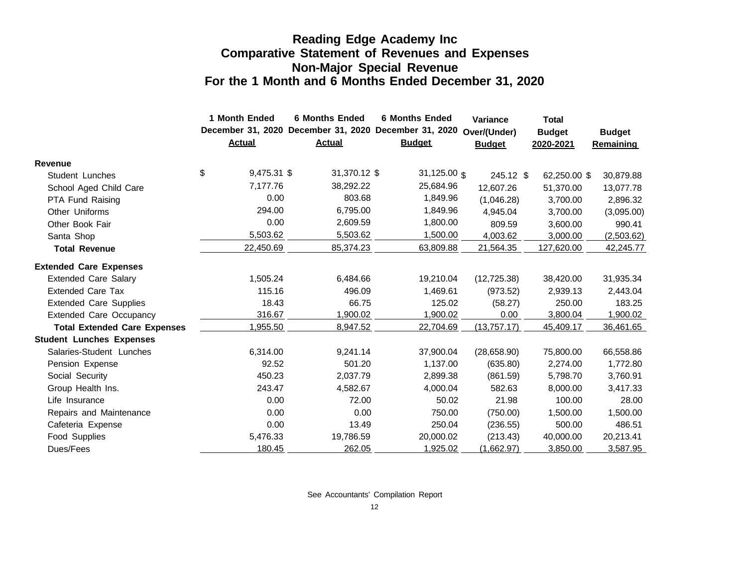### **Reading Edge Academy Inc Comparative Statement of Revenues and Expenses Non-Major Special Revenue For the 1 Month and 6 Months Ended December 31, 2020**

|                                     | 1 Month Ended     | <b>6 Months Ended</b>                                 | <b>6 Months Ended</b>   | <b>Variance</b> | <b>Total</b>  |                  |  |
|-------------------------------------|-------------------|-------------------------------------------------------|-------------------------|-----------------|---------------|------------------|--|
|                                     |                   | December 31, 2020 December 31, 2020 December 31, 2020 |                         | Over/(Under)    | <b>Budget</b> | <b>Budget</b>    |  |
|                                     | <b>Actual</b>     | <b>Actual</b>                                         | <b>Budget</b>           | <b>Budget</b>   | 2020-2021     | <b>Remaining</b> |  |
| <b>Revenue</b>                      |                   |                                                       |                         |                 |               |                  |  |
| Student Lunches                     | \$<br>9,475.31 \$ | 31,370.12 \$                                          | 31,125.00 $\frac{1}{3}$ | 245.12 \$       | 62,250.00 \$  | 30,879.88        |  |
| School Aged Child Care              | 7,177.76          | 38,292.22                                             | 25,684.96               | 12,607.26       | 51,370.00     | 13,077.78        |  |
| PTA Fund Raising                    | 0.00              | 803.68                                                | 1,849.96                | (1,046.28)      | 3,700.00      | 2,896.32         |  |
| <b>Other Uniforms</b>               | 294.00            | 6,795.00                                              | 1,849.96                | 4,945.04        | 3,700.00      | (3,095.00)       |  |
| Other Book Fair                     | 0.00              | 2,609.59                                              | 1,800.00                | 809.59          | 3,600.00      | 990.41           |  |
| Santa Shop                          | 5,503.62          | 5,503.62                                              | 1,500.00                | 4,003.62        | 3,000.00      | (2,503.62)       |  |
| <b>Total Revenue</b>                | 22,450.69         | 85,374.23                                             | 63,809.88               | 21,564.35       | 127,620.00    | 42,245.77        |  |
| <b>Extended Care Expenses</b>       |                   |                                                       |                         |                 |               |                  |  |
| <b>Extended Care Salary</b>         | 1,505.24          | 6,484.66                                              | 19,210.04               | (12, 725.38)    | 38,420.00     | 31,935.34        |  |
| <b>Extended Care Tax</b>            | 115.16            | 496.09                                                | 1,469.61                | (973.52)        | 2,939.13      | 2,443.04         |  |
| <b>Extended Care Supplies</b>       | 18.43             | 66.75                                                 | 125.02                  | (58.27)         | 250.00        | 183.25           |  |
| <b>Extended Care Occupancy</b>      | 316.67            | 1,900.02                                              | 1,900.02                | 0.00            | 3,800.04      | 1,900.02         |  |
| <b>Total Extended Care Expenses</b> | 1,955.50          | 8,947.52                                              | 22,704.69               | (13,757.17)     | 45,409.17     | 36,461.65        |  |
| <b>Student Lunches Expenses</b>     |                   |                                                       |                         |                 |               |                  |  |
| Salaries-Student Lunches            | 6,314.00          | 9,241.14                                              | 37,900.04               | (28,658.90)     | 75,800.00     | 66,558.86        |  |
| Pension Expense                     | 92.52             | 501.20                                                | 1,137.00                | (635.80)        | 2,274.00      | 1,772.80         |  |
| Social Security                     | 450.23            | 2,037.79                                              | 2,899.38                | (861.59)        | 5,798.70      | 3,760.91         |  |
| Group Health Ins.                   | 243.47            | 4,582.67                                              | 4,000.04                | 582.63          | 8,000.00      | 3,417.33         |  |
| Life Insurance                      | 0.00              | 72.00                                                 | 50.02                   | 21.98           | 100.00        | 28.00            |  |
| Repairs and Maintenance             | 0.00              | 0.00                                                  | 750.00                  | (750.00)        | 1,500.00      | 1,500.00         |  |
| Cafeteria Expense                   | 0.00              | 13.49                                                 | 250.04                  | (236.55)        | 500.00        | 486.51           |  |
| Food Supplies                       | 5,476.33          | 19,786.59                                             | 20,000.02               | (213.43)        | 40,000.00     | 20,213.41        |  |
| Dues/Fees                           | 180.45            | 262.05                                                | 1,925.02                | (1,662.97)      | 3,850.00      | 3,587.95         |  |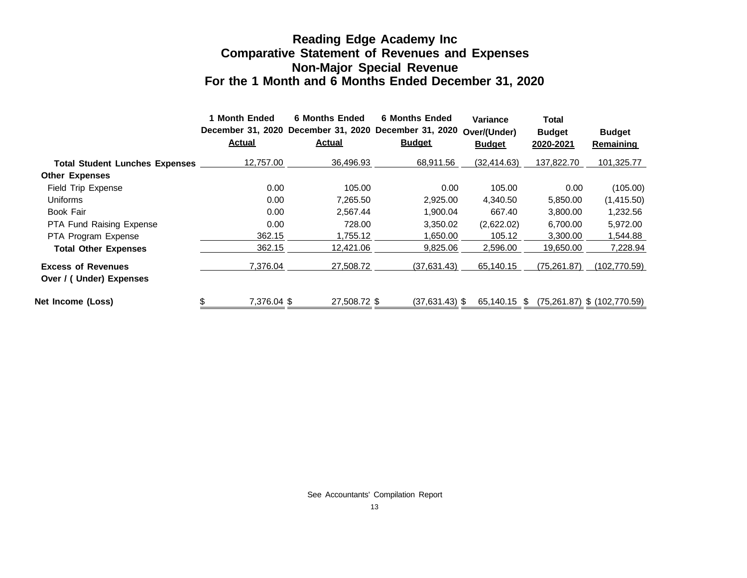### **Reading Edge Academy Inc Comparative Statement of Revenues and Expenses Non-Major Special Revenue For the 1 Month and 6 Months Ended December 31, 2020**

|                                                      | <b>Month Ended</b><br><b>Actual</b> | <b>6 Months Ended</b><br><b>Actual</b> | <b>6 Months Ended</b><br>December 31, 2020 December 31, 2020 December 31, 2020<br><b>Budget</b> | Variance<br>Over/(Under)<br><b>Budget</b> | <b>Total</b><br><b>Budget</b><br>2020-2021 | <b>Budget</b><br><b>Remaining</b> |
|------------------------------------------------------|-------------------------------------|----------------------------------------|-------------------------------------------------------------------------------------------------|-------------------------------------------|--------------------------------------------|-----------------------------------|
| <b>Total Student Lunches Expenses</b>                | 12,757.00                           | 36.496.93                              | 68,911.56                                                                                       | (32, 414.63)                              | 137.822.70                                 | 101,325.77                        |
| <b>Other Expenses</b>                                |                                     |                                        |                                                                                                 |                                           |                                            |                                   |
| Field Trip Expense                                   | 0.00                                | 105.00                                 | 0.00                                                                                            | 105.00                                    | 0.00                                       | (105.00)                          |
| Uniforms                                             | 0.00                                | 7,265.50                               | 2,925.00                                                                                        | 4,340.50                                  | 5,850.00                                   | (1,415.50)                        |
| Book Fair                                            | 0.00                                | 2,567.44                               | 1,900.04                                                                                        | 667.40                                    | 3,800.00                                   | 1,232.56                          |
| PTA Fund Raising Expense                             | 0.00                                | 728.00                                 | 3,350.02                                                                                        | (2,622.02)                                | 6,700.00                                   | 5,972.00                          |
| PTA Program Expense                                  | 362.15                              | 1,755.12                               | 1,650.00                                                                                        | 105.12                                    | 3,300.00                                   | 544.88, ا                         |
| <b>Total Other Expenses</b>                          | 362.15                              | 12,421.06                              | 9,825.06                                                                                        | 2,596.00                                  | 19,650.00                                  | 7,228.94                          |
| <b>Excess of Revenues</b><br>Over / (Under) Expenses | 7.376.04                            | 27,508.72                              | (37,631.43)                                                                                     | 65,140.15                                 | (75, 261.87)                               | (102, 770.59)                     |
| Net Income (Loss)                                    | \$<br>7.376.04 \$                   | 27.508.72 \$                           | $(37.631.43)$ \$                                                                                | 65.140.15                                 | -SS                                        | $(75,261.87)$ \$ $(102,770.59)$   |